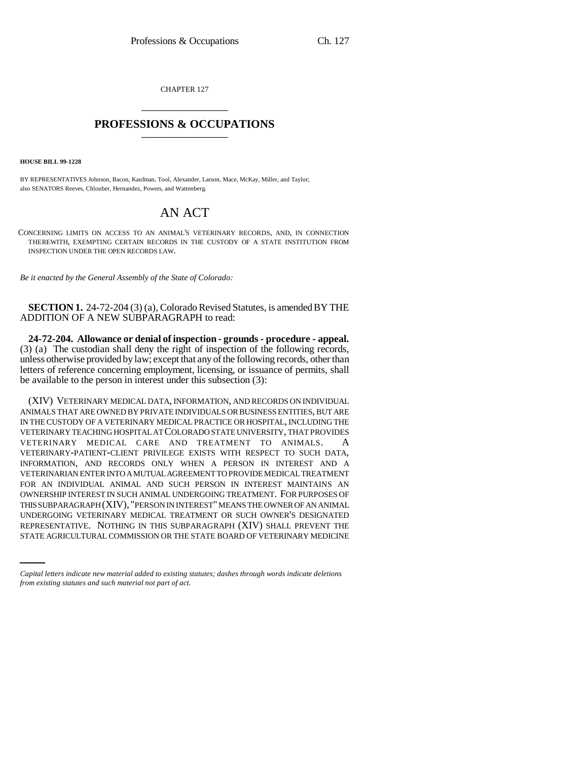CHAPTER 127 \_\_\_\_\_\_\_\_\_\_\_\_\_\_\_

## PROFESSIONS & OCCUPATIONS

**HOUSE BILL 99-1228** 

BY REPRESENTATIVES Johnson, Bacon, Kaufman, Tool, Alexander, Larson, Mace, McKay, Miller, and Taylor; also SENATORS Reeves, Chlouber, Hernandez, Powers, and Wattenberg.

## AN ACT

CONCERNING LIMITS ON ACCESS TO AN ANIMAL'S VETERINARY RECORDS, AND, IN CONNECTION THEREWITH, EXEMPTING CERTAIN RECORDS IN THE CUSTODY OF A STATE INSTITUTION FROM INSPECTION UNDER THE OPEN RECORDS LAW.

*Be it enacted by the General Assembly of the State of Colorado:*

**SECTION 1.** 24-72-204 (3) (a), Colorado Revised Statutes, is amended BY THE ADDITION OF A NEW SUBPARAGRAPH to read:

**24-72-204. Allowance or denial of inspection - grounds - procedure - appeal.** (3) (a) The custodian shall deny the right of inspection of the following records, unless otherwise provided by law; except that any of the following records, other than letters of reference concerning employment, licensing, or issuance of permits, shall be available to the person in interest under this subsection (3):

UNDERGOING VETERINARY MEDICAL TREATMENT OR SUCH OWNER'S DESIGNATED (XIV) VETERINARY MEDICAL DATA, INFORMATION, AND RECORDS ON INDIVIDUAL ANIMALS THAT ARE OWNED BY PRIVATE INDIVIDUALS OR BUSINESS ENTITIES, BUT ARE IN THE CUSTODY OF A VETERINARY MEDICAL PRACTICE OR HOSPITAL, INCLUDING THE VETERINARY TEACHING HOSPITAL AT COLORADO STATE UNIVERSITY, THAT PROVIDES VETERINARY MEDICAL CARE AND TREATMENT TO ANIMALS. A VETERINARY-PATIENT-CLIENT PRIVILEGE EXISTS WITH RESPECT TO SUCH DATA, INFORMATION, AND RECORDS ONLY WHEN A PERSON IN INTEREST AND A VETERINARIAN ENTER INTO A MUTUAL AGREEMENT TO PROVIDE MEDICAL TREATMENT FOR AN INDIVIDUAL ANIMAL AND SUCH PERSON IN INTEREST MAINTAINS AN OWNERSHIP INTEREST IN SUCH ANIMAL UNDERGOING TREATMENT. FOR PURPOSES OF THIS SUBPARAGRAPH (XIV), "PERSON IN INTEREST" MEANS THE OWNER OF AN ANIMAL REPRESENTATIVE. NOTHING IN THIS SUBPARAGRAPH (XIV) SHALL PREVENT THE STATE AGRICULTURAL COMMISSION OR THE STATE BOARD OF VETERINARY MEDICINE

*Capital letters indicate new material added to existing statutes; dashes through words indicate deletions from existing statutes and such material not part of act.*